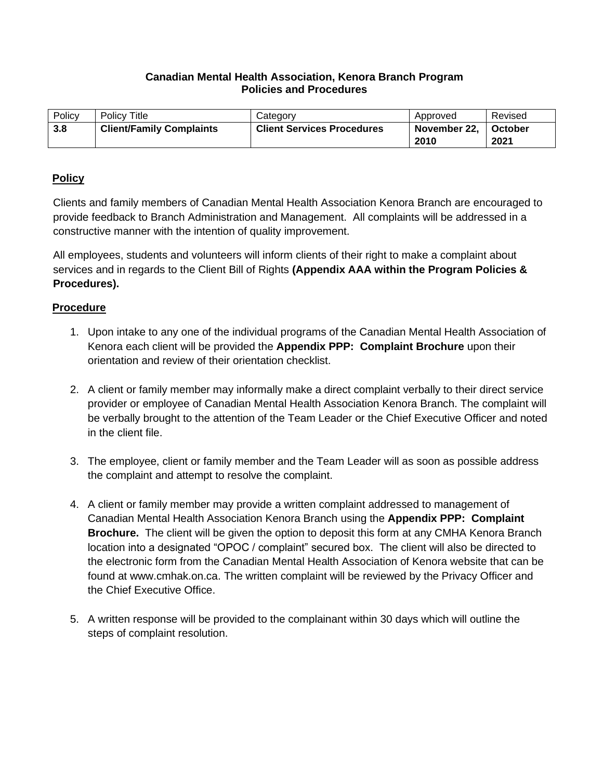## **Canadian Mental Health Association, Kenora Branch Program Policies and Procedures**

| Policy | <b>Policy Title</b>             | Category                          | Approved     | Revised |
|--------|---------------------------------|-----------------------------------|--------------|---------|
| 3.8    | <b>Client/Family Complaints</b> | <b>Client Services Procedures</b> | November 22. | October |
|        |                                 |                                   | 2010         | 2021    |

## **Policy**

Clients and family members of Canadian Mental Health Association Kenora Branch are encouraged to provide feedback to Branch Administration and Management. All complaints will be addressed in a constructive manner with the intention of quality improvement.

All employees, students and volunteers will inform clients of their right to make a complaint about services and in regards to the Client Bill of Rights **(Appendix AAA within the Program Policies & Procedures).**

## **Procedure**

- 1. Upon intake to any one of the individual programs of the Canadian Mental Health Association of Kenora each client will be provided the **Appendix PPP: Complaint Brochure** upon their orientation and review of their orientation checklist.
- 2. A client or family member may informally make a direct complaint verbally to their direct service provider or employee of Canadian Mental Health Association Kenora Branch. The complaint will be verbally brought to the attention of the Team Leader or the Chief Executive Officer and noted in the client file.
- 3. The employee, client or family member and the Team Leader will as soon as possible address the complaint and attempt to resolve the complaint.
- 4. A client or family member may provide a written complaint addressed to management of Canadian Mental Health Association Kenora Branch using the **Appendix PPP: Complaint Brochure.** The client will be given the option to deposit this form at any CMHA Kenora Branch location into a designated "OPOC / complaint" secured box. The client will also be directed to the electronic form from the Canadian Mental Health Association of Kenora website that can be found at www.cmhak.on.ca. The written complaint will be reviewed by the Privacy Officer and the Chief Executive Office.
- 5. A written response will be provided to the complainant within 30 days which will outline the steps of complaint resolution.